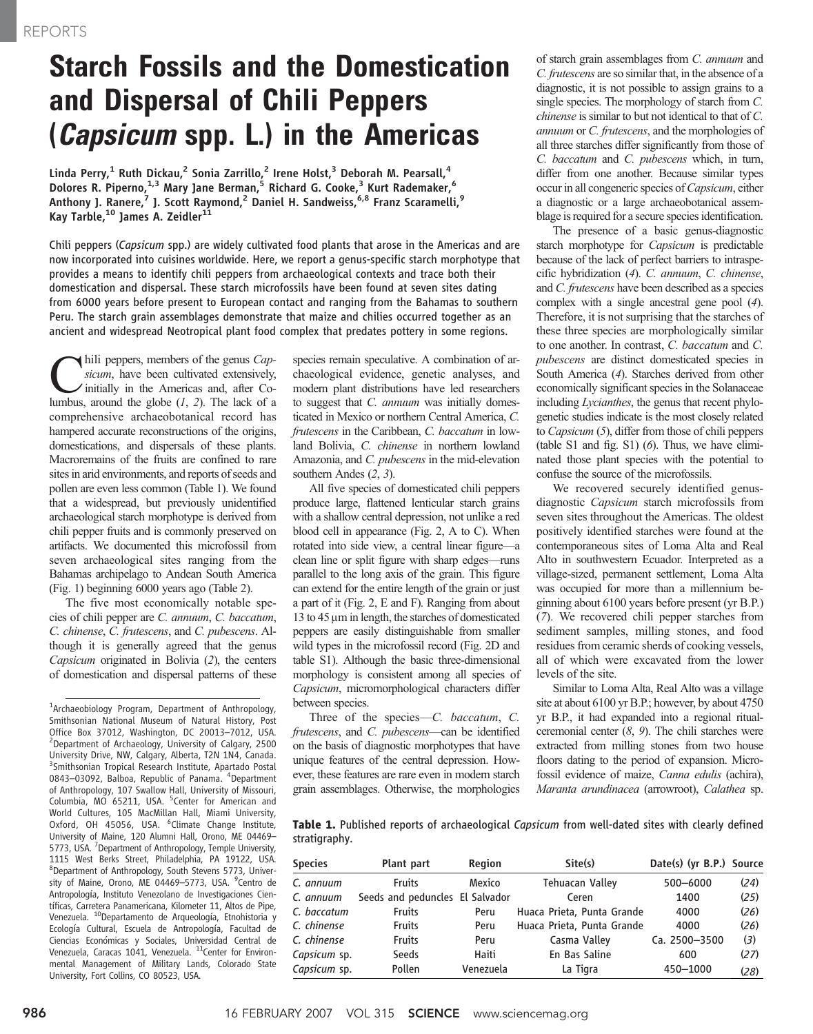## Starch Fossils and the Domestication and Dispersal of Chili Peppers (Capsicum spp. L.) in the Americas

Linda Perry,<sup>1</sup> Ruth Dickau,<sup>2</sup> Sonia Zarrillo,<sup>2</sup> Irene Holst,<sup>3</sup> Deborah M. Pearsall,<sup>4</sup> Dolores R. Piperno,<sup>1,3</sup> Mary Jane Berman,<sup>5</sup> Richard G. Cooke,<sup>3</sup> Kurt Rademaker,<sup>6</sup> Anthony J. Ranere,<sup>7</sup> J. Scott Raymond,<sup>2</sup> Daniel H. Sandweiss,<sup>6,8</sup> Franz Scaramelli,<sup>9</sup> Kay Tarble,<sup>10</sup> James A. Zeidler<sup>11</sup>

Chili peppers (Capsicum spp.) are widely cultivated food plants that arose in the Americas and are now incorporated into cuisines worldwide. Here, we report a genus-specific starch morphotype that provides a means to identify chili peppers from archaeological contexts and trace both their domestication and dispersal. These starch microfossils have been found at seven sites dating from 6000 years before present to European contact and ranging from the Bahamas to southern Peru. The starch grain assemblages demonstrate that maize and chilies occurred together as an ancient and widespread Neotropical plant food complex that predates pottery in some regions.

hili peppers, members of the genus Capsicum, have been cultivated extensively, Initially in the Americas and, after Columbus, around the globe  $(1, 2)$ . The lack of a comprehensive archaeobotanical record has hampered accurate reconstructions of the origins, domestications, and dispersals of these plants. Macroremains of the fruits are confined to rare sites in arid environments, and reports of seeds and pollen are even less common (Table 1). We found that a widespread, but previously unidentified archaeological starch morphotype is derived from chili pepper fruits and is commonly preserved on artifacts. We documented this microfossil from seven archaeological sites ranging from the Bahamas archipelago to Andean South America (Fig. 1) beginning 6000 years ago (Table 2).

The five most economically notable species of chili pepper are C. annuum, C. baccatum, C. chinense, C. frutescens, and C. pubescens. Although it is generally agreed that the genus Capsicum originated in Bolivia (2), the centers of domestication and dispersal patterns of these

<sup>1</sup>Archaeobiology Program, Department of Anthropology, Smithsonian National Museum of Natural History, Post Office Box 37012, Washington, DC 20013–7012, USA. <sup>2</sup> <sup>2</sup>Department of Archaeology, University of Calgary, 2500 University Drive, NW, Calgary, Alberta, T2N 1N4, Canada. <sup>3</sup>Smithsonian Tropical Research Institute, Apartado Postal 0843-03092, Balboa, Republic of Panama. <sup>4</sup>Department of Anthropology, 107 Swallow Hall, University of Missouri, Columbia, MO 65211, USA. <sup>5</sup>Center for American and World Cultures, 105 MacMillan Hall, Miami University, Oxford, OH 45056, USA. <sup>6</sup>Climate Change Institute, University of Maine, 120 Alumni Hall, Orono, ME 04469– 5773, USA. <sup>7</sup>Department of Anthropology, Temple University, 1115 West Berks Street, Philadelphia, PA 19122, USA. <sup>8</sup>Department of Anthropology, South Stevens 5773, University of Maine, Orono, ME 04469-5773, USA. <sup>9</sup>Centro de Antropología, Instituto Venezolano de Investigaciones Científicas, Carretera Panamericana, Kilometer 11, Altos de Pipe, Venezuela. 10Departamento de Arqueología, Etnohistoria y Ecología Cultural, Escuela de Antropología, Facultad de Ciencias Económicas y Sociales, Universidad Central de Venezuela, Caracas 1041, Venezuela. <sup>11</sup>Center for Environmental Management of Military Lands, Colorado State University, Fort Collins, CO 80523, USA.

species remain speculative. A combination of archaeological evidence, genetic analyses, and modern plant distributions have led researchers to suggest that *C. annuum* was initially domesticated in Mexico or northern Central America, C. frutescens in the Caribbean, C. baccatum in lowland Bolivia, C. chinense in northern lowland Amazonia, and C. pubescens in the mid-elevation southern Andes (2, 3).

All five species of domesticated chili peppers produce large, flattened lenticular starch grains with a shallow central depression, not unlike a red blood cell in appearance (Fig. 2, A to C). When rotated into side view, a central linear figure—a clean line or split figure with sharp edges—runs parallel to the long axis of the grain. This figure can extend for the entire length of the grain or just a part of it (Fig. 2, E and F). Ranging from about 13 to  $45 \mu m$  in length, the starches of domesticated peppers are easily distinguishable from smaller wild types in the microfossil record (Fig. 2D and table S1). Although the basic three-dimensional morphology is consistent among all species of Capsicum, micromorphological characters differ between species.

Three of the species—C. baccatum, C. frutescens, and C. pubescens—can be identified on the basis of diagnostic morphotypes that have unique features of the central depression. However, these features are rare even in modern starch grain assemblages. Otherwise, the morphologies

of starch grain assemblages from C. annuum and C. frutescens are so similar that, in the absence of a diagnostic, it is not possible to assign grains to a single species. The morphology of starch from C. chinense is similar to but not identical to that of C. annuum or C. frutescens, and the morphologies of all three starches differ significantly from those of C. baccatum and C. pubescens which, in turn, differ from one another. Because similar types occur in all congeneric species of Capsicum, either a diagnostic or a large archaeobotanical assemblage is required for a secure species identification.

The presence of a basic genus-diagnostic starch morphotype for Capsicum is predictable because of the lack of perfect barriers to intraspecific hybridization (4). C. annuum, C. chinense, and C. frutescens have been described as a species complex with a single ancestral gene pool (4). Therefore, it is not surprising that the starches of these three species are morphologically similar to one another. In contrast, C. baccatum and C. pubescens are distinct domesticated species in South America (4). Starches derived from other economically significant species in the Solanaceae including *Lycianthes*, the genus that recent phylogenetic studies indicate is the most closely related to Capsicum (5), differ from those of chili peppers (table S1 and fig. S1)  $(6)$ . Thus, we have eliminated those plant species with the potential to confuse the source of the microfossils.

We recovered securely identified genusdiagnostic Capsicum starch microfossils from seven sites throughout the Americas. The oldest positively identified starches were found at the contemporaneous sites of Loma Alta and Real Alto in southwestern Ecuador. Interpreted as a village-sized, permanent settlement, Loma Alta was occupied for more than a millennium beginning about 6100 years before present (yr B.P.) (7). We recovered chili pepper starches from sediment samples, milling stones, and food residues from ceramic sherds of cooking vessels, all of which were excavated from the lower levels of the site.

Similar to Loma Alta, Real Alto was a village site at about 6100 yr B.P.; however, by about 4750 yr B.P., it had expanded into a regional ritualceremonial center  $(8, 9)$ . The chili starches were extracted from milling stones from two house floors dating to the period of expansion. Microfossil evidence of maize, Canna edulis (achira), Maranta arundinacea (arrowroot), Calathea sp.

Table 1. Published reports of archaeological Capsicum from well-dated sites with clearly defined stratigraphy.

| <b>Species</b> | Plant part                      | Region    | Site(s)                    | Date(s) (yr B.P.) Source |      |
|----------------|---------------------------------|-----------|----------------------------|--------------------------|------|
| C. annuum      | <b>Fruits</b>                   | Mexico    | <b>Tehuacan Valley</b>     | 500-6000                 | (24) |
| C. annuum      | Seeds and peduncles El Salvador |           | Ceren                      | 1400                     | (25) |
| C. baccatum    | <b>Fruits</b>                   | Peru      | Huaca Prieta, Punta Grande | 4000                     | (26) |
| C. chinense    | <b>Fruits</b>                   | Peru      | Huaca Prieta, Punta Grande | 4000                     | (26) |
| C. chinense    | <b>Fruits</b>                   | Peru      | Casma Valley               | Ca. 2500-3500            | (3)  |
| Capsicum sp.   | Seeds                           | Haiti     | En Bas Saline              | 600                      | (27) |
| Capsicum sp.   | Pollen                          | Venezuela | La Tigra                   | 450-1000                 | (28) |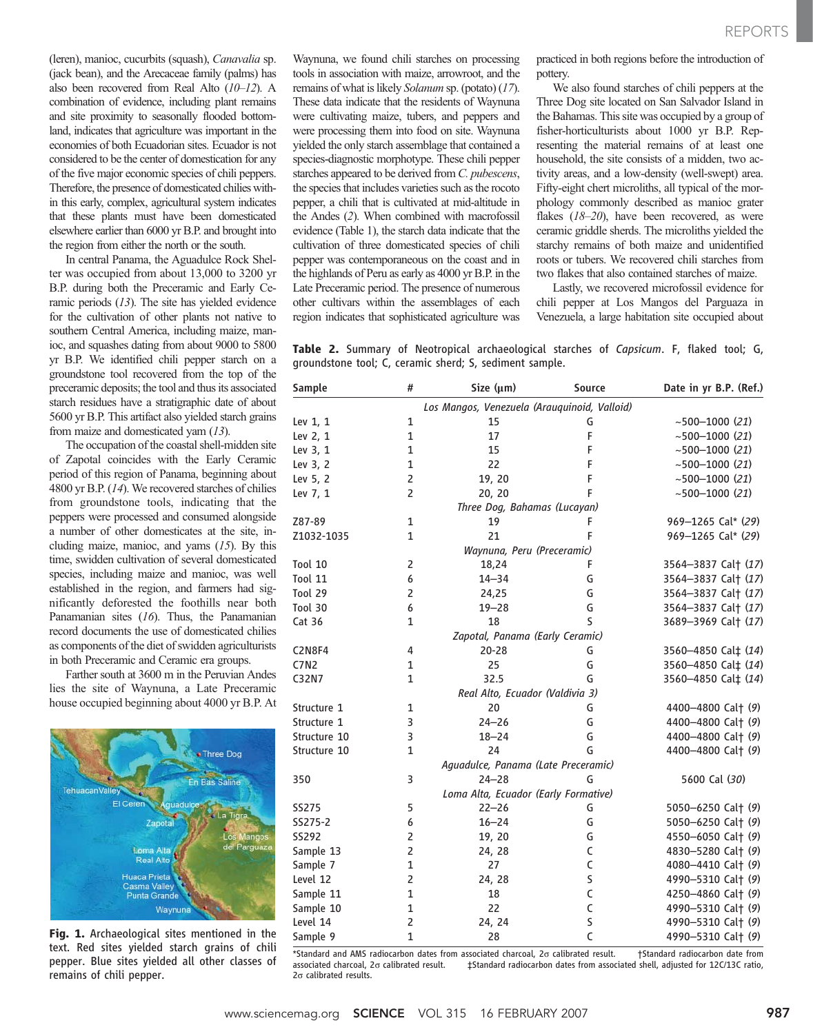(leren), manioc, cucurbits (squash), Canavalia sp. (jack bean), and the Arecaceae family (palms) has also been recovered from Real Alto (10–12). A combination of evidence, including plant remains and site proximity to seasonally flooded bottomland, indicates that agriculture was important in the economies of both Ecuadorian sites. Ecuador is not considered to be the center of domestication for any of the five major economic species of chili peppers. Therefore, the presence of domesticated chilies within this early, complex, agricultural system indicates that these plants must have been domesticated elsewhere earlier than 6000 yr B.P. and brought into the region from either the north or the south.

In central Panama, the Aguadulce Rock Shelter was occupied from about 13,000 to 3200 yr B.P. during both the Preceramic and Early Ceramic periods (13). The site has yielded evidence for the cultivation of other plants not native to southern Central America, including maize, manioc, and squashes dating from about 9000 to 5800 yr B.P. We identified chili pepper starch on a groundstone tool recovered from the top of the preceramic deposits; the tool and thus its associated starch residues have a stratigraphic date of about 5600 yr B.P. This artifact also yielded starch grains from maize and domesticated yam (13).

The occupation of the coastal shell-midden site of Zapotal coincides with the Early Ceramic period of this region of Panama, beginning about 4800 yr B.P. (14). We recovered starches of chilies from groundstone tools, indicating that the peppers were processed and consumed alongside a number of other domesticates at the site, including maize, manioc, and yams  $(15)$ . By this time, swidden cultivation of several domesticated species, including maize and manioc, was well established in the region, and farmers had significantly deforested the foothills near both Panamanian sites (16). Thus, the Panamanian record documents the use of domesticated chilies as components of the diet of swidden agriculturists in both Preceramic and Ceramic era groups.

Farther south at 3600 m in the Peruvian Andes lies the site of Waynuna, a Late Preceramic house occupied beginning about 4000 yr B.P. At



Fig. 1. Archaeological sites mentioned in the text. Red sites yielded starch grains of chili pepper. Blue sites yielded all other classes of remains of chili pepper.

Waynuna, we found chili starches on processing tools in association with maize, arrowroot, and the remains of what is likely Solanum sp. (potato) (17). These data indicate that the residents of Waynuna were cultivating maize, tubers, and peppers and were processing them into food on site. Waynuna yielded the only starch assemblage that contained a species-diagnostic morphotype. These chili pepper starches appeared to be derived from C. pubescens, the species that includes varieties such as the rocoto pepper, a chili that is cultivated at mid-altitude in the Andes (2). When combined with macrofossil evidence (Table 1), the starch data indicate that the cultivation of three domesticated species of chili pepper was contemporaneous on the coast and in the highlands of Peru as early as 4000 yr B.P. in the Late Preceramic period. The presence of numerous other cultivars within the assemblages of each region indicates that sophisticated agriculture was

practiced in both regions before the introduction of pottery.

We also found starches of chili peppers at the Three Dog site located on San Salvador Island in the Bahamas. This site was occupied by a group of fisher-horticulturists about 1000 yr B.P. Representing the material remains of at least one household, the site consists of a midden, two activity areas, and a low-density (well-swept) area. Fifty-eight chert microliths, all typical of the morphology commonly described as manioc grater flakes  $(18-20)$ , have been recovered, as were ceramic griddle sherds. The microliths yielded the starchy remains of both maize and unidentified roots or tubers. We recovered chili starches from two flakes that also contained starches of maize.

Lastly, we recovered microfossil evidence for chili pepper at Los Mangos del Parguaza in Venezuela, a large habitation site occupied about

Table 2. Summary of Neotropical archaeological starches of Capsicum. F, flaked tool; G, groundstone tool; C, ceramic sherd; S, sediment sample.

| Sample        | #              | Size $(\mu m)$                               | Source       | Date in yr B.P. (Ref.) |
|---------------|----------------|----------------------------------------------|--------------|------------------------|
|               |                | Los Mangos, Venezuela (Arauquinoid, Valloid) |              |                        |
| Lev 1, 1      | 1              | 15                                           | G            | $~1000$ (21)           |
| Lev 2, 1      | $\mathbf{1}$   | 17                                           | F            | $~1000$ (21)           |
| Lev 3, 1      | $\mathbf 1$    | 15                                           | F            | ~1000~(21)             |
| Lev 3, 2      | $\mathbf{1}$   | 22                                           | F            | $~1000$ (21)           |
| Lev 5, 2      | $\overline{2}$ | 19, 20                                       | F            | $~1000$ (21)           |
| Lev 7, 1      | $\overline{2}$ | 20, 20                                       | F            | $~1000$ (21)           |
|               |                | Three Dog, Bahamas (Lucayan)                 |              |                        |
| Z87-89        | $\mathbf{1}$   | 19                                           | F            | 969-1265 Cal* (29)     |
| Z1032-1035    | 1              | 21                                           | F            | 969-1265 Cal* (29)     |
|               |                | Waynuna, Peru (Preceramic)                   |              |                        |
| Tool 10       | 2              | 18,24                                        | F            | 3564-3837 Cal† (17)    |
| Tool 11       | 6              | $14 - 34$                                    | G            | 3564-3837 Cal† (17)    |
| Tool 29       | 2              | 24,25                                        | G            | 3564-3837 Cal† (17)    |
| Tool 30       | 6              | $19 - 28$                                    | G            | 3564-3837 Cal† (17)    |
| Cat 36        | 1              | 18                                           | S            | 3689-3969 Cal† (17)    |
|               |                | Zapotal, Panama (Early Ceramic)              |              |                        |
| <b>C2N8F4</b> | 4              | $20 - 28$                                    | G            | 3560-4850 Cal‡ (14)    |
| <b>C7N2</b>   | $\mathbf{1}$   | 25                                           | G            | 3560-4850 Cal‡ (14)    |
| C32N7         | $\mathbf{1}$   | 32.5                                         | G            | 3560-4850 Cal‡ (14)    |
|               |                | Real Alto, Ecuador (Valdivia 3)              |              |                        |
| Structure 1   | 1              | 20                                           | G            | 4400-4800 Cal† (9)     |
| Structure 1   | 3              | $24 - 26$                                    | G            | 4400-4800 Cal+ (9)     |
| Structure 10  | 3              | 18–24                                        | G            | 4400-4800 Cal† (9)     |
| Structure 10  | 1              | 24                                           | G            | 4400-4800 Cal† (9)     |
|               |                | Aguadulce, Panama (Late Preceramic)          |              |                        |
| 350           | 3              | $24 - 28$                                    | G            | 5600 Cal (30)          |
|               |                | Loma Alta, Ecuador (Early Formative)         |              |                        |
| <b>SS275</b>  | 5              | $22 - 26$                                    | G            | 5050-6250 Cal† (9)     |
| SS275-2       | 6              | $16 - 24$                                    | G            | 5050-6250 Cal† (9)     |
| <b>SS292</b>  | 2              | 19, 20                                       | G            | 4550-6050 Cal† (9)     |
| Sample 13     | $\overline{2}$ | 24, 28                                       | C            | 4830-5280 Cal† (9)     |
| Sample 7      | $\mathbf{1}$   | 27                                           | C            | 4080-4410 Cal† (9)     |
| Level 12      | 2              | 24, 28                                       | S            | 4990-5310 Cal† (9)     |
| Sample 11     | $\mathbf 1$    | 18                                           | C            | 4250-4860 Cal† (9)     |
| Sample 10     | $\mathbf{1}$   | 22                                           | C            | 4990-5310 Cal† (9)     |
| Level 14      | $\overline{2}$ | 24, 24                                       | S            | 4990-5310 Cal† (9)     |
| Sample 9      | $\mathbf{1}$   | 28                                           | $\mathsf{C}$ | 4990-5310 Cal† (9)     |

\*Standard and AMS radiocarbon dates from associated charcoal, 2s calibrated result. †Standard radiocarbon date from associated charcoal, 2s calibrated result. ‡Standard radiocarbon dates from associated shell, adjusted for 12C/13C ratio,  $2\sigma$  calibrated results.